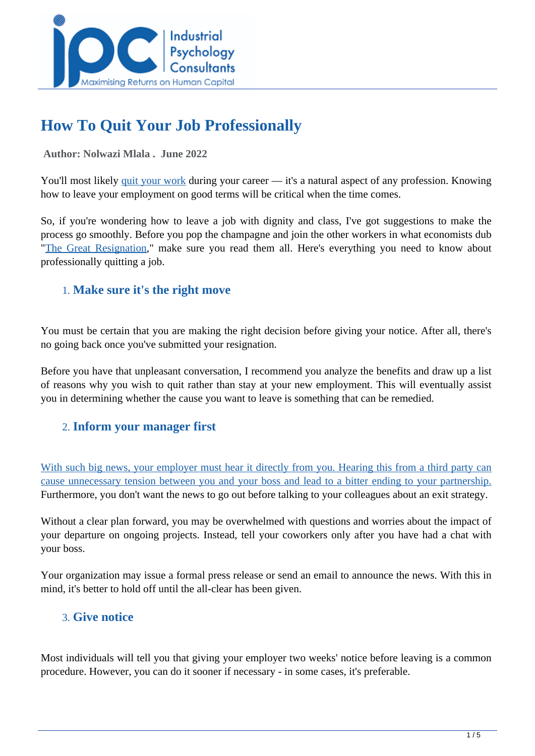

# **How To Quit Your Job Professionally**

#### **Author: Nolwazi Mlala . June 2022**

You'll most likely [quit your work](https://www.indeed.com/career-advice/starting-new-job/how-to-quit-a-job) during your career — it's a natural aspect of any profession. Knowing how to leave your employment on good terms will be critical when the time comes.

So, if you're wondering how to leave a job with dignity and class, I've got suggestions to make the process go smoothly. Before you pop the champagne and join the other workers in what economists dub "[The Great Resignation,"](https://en.wikipedia.org/wiki/Great_Resignation) make sure you read them all. Here's everything you need to know about professionally quitting a job.

## 1. **Make sure it's the right move**

You must be certain that you are making the right decision before giving your notice. After all, there's no going back once you've submitted your resignation.

Before you have that unpleasant conversation, I recommend you analyze the benefits and draw up a list of reasons why you wish to quit rather than stay at your new employment. This will eventually assist you in determining whether the cause you want to leave is something that can be remedied.

### 2. **Inform your manager first**

[With such big news, your employer must hear it directly from you. Hearing this from a third party can](https://www.ramseysolutions.com/career-advice/how-to-quit-job-professionally) [cause unnecessary tension between you and your boss and lead to a bitter ending to your partnership.](https://www.ramseysolutions.com/career-advice/how-to-quit-job-professionally) Furthermore, you don't want the news to go out before talking to your colleagues about an exit strategy.

Without a clear plan forward, you may be overwhelmed with questions and worries about the impact of your departure on ongoing projects. Instead, tell your coworkers only after you have had a chat with your boss.

Your organization may issue a formal press release or send an email to announce the news. With this in mind, it's better to hold off until the all-clear has been given.

### 3. **Give notice**

Most individuals will tell you that giving your employer two weeks' notice before leaving is a common procedure. However, you can do it sooner if necessary - in some cases, it's preferable.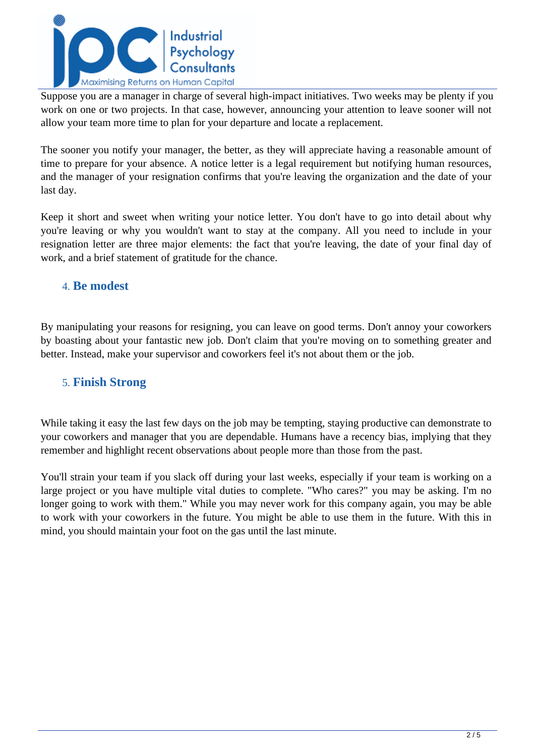

Suppose you are a manager in charge of several high-impact initiatives. Two weeks may be plenty if you work on one or two projects. In that case, however, announcing your attention to leave sooner will not allow your team more time to plan for your departure and locate a replacement.

The sooner you notify your manager, the better, as they will appreciate having a reasonable amount of time to prepare for your absence. A notice letter is a legal requirement but notifying human resources, and the manager of your resignation confirms that you're leaving the organization and the date of your last day.

Keep it short and sweet when writing your notice letter. You don't have to go into detail about why you're leaving or why you wouldn't want to stay at the company. All you need to include in your resignation letter are three major elements: the fact that you're leaving, the date of your final day of work, and a brief statement of gratitude for the chance.

### 4. **Be modest**

By manipulating your reasons for resigning, you can leave on good terms. Don't annoy your coworkers by boasting about your fantastic new job. Don't claim that you're moving on to something greater and better. Instead, make your supervisor and coworkers feel it's not about them or the job.

### 5. **Finish Strong**

While taking it easy the last few days on the job may be tempting, staying productive can demonstrate to your coworkers and manager that you are dependable. Humans have a recency bias, implying that they remember and highlight recent observations about people more than those from the past.

You'll strain your team if you slack off during your last weeks, especially if your team is working on a large project or you have multiple vital duties to complete. "Who cares?" you may be asking. I'm no longer going to work with them." While you may never work for this company again, you may be able to work with your coworkers in the future. You might be able to use them in the future. With this in mind, you should maintain your foot on the gas until the last minute.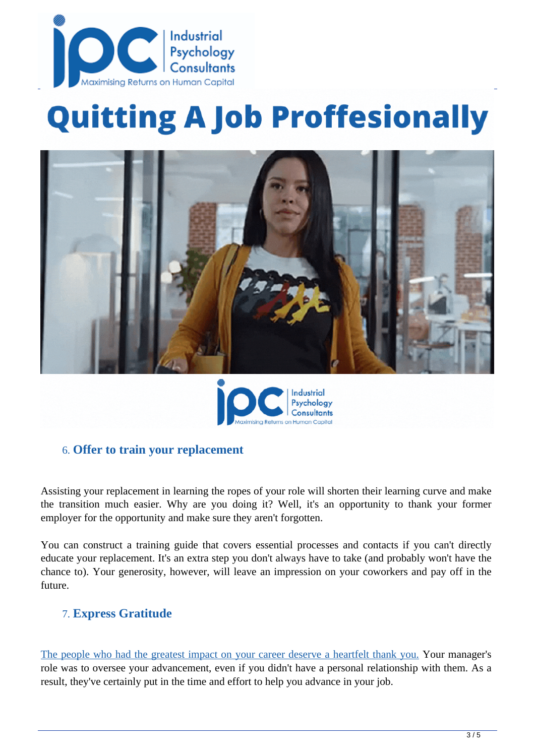

# **Quitting A Job Proffesionally**





### 6. **Offer to train your replacement**

Assisting your replacement in learning the ropes of your role will shorten their learning curve and make the transition much easier. Why are you doing it? Well, it's an opportunity to thank your former employer for the opportunity and make sure they aren't forgotten.

You can construct a training guide that covers essential processes and contacts if you can't directly educate your replacement. It's an extra step you don't always have to take (and probably won't have the chance to). Your generosity, however, will leave an impression on your coworkers and pay off in the future.

### 7. **Express Gratitude**

[The people who had the greatest impact on your career deserve a heartfelt thank you. Y](https://intheblack.cpaaustralia.com.au/careers-and-workplace/quit-job-keep-reputation)our manager's role was to oversee your advancement, even if you didn't have a personal relationship with them. As a result, they've certainly put in the time and effort to help you advance in your job.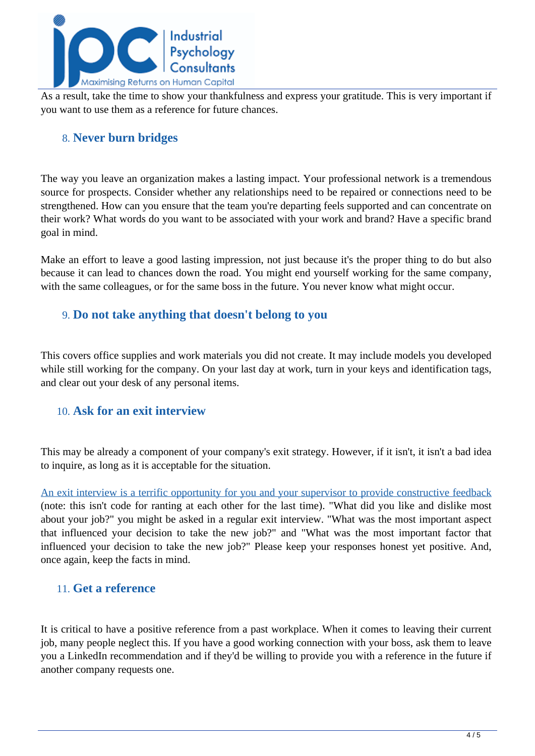

As a result, take the time to show your thankfulness and express your gratitude. This is very important if you want to use them as a reference for future chances.

### 8. **Never burn bridges**

The way you leave an organization makes a lasting impact. Your professional network is a tremendous source for prospects. Consider whether any relationships need to be repaired or connections need to be strengthened. How can you ensure that the team you're departing feels supported and can concentrate on their work? What words do you want to be associated with your work and brand? Have a specific brand goal in mind.

Make an effort to leave a good lasting impression, not just because it's the proper thing to do but also because it can lead to chances down the road. You might end yourself working for the same company, with the same colleagues, or for the same boss in the future. You never know what might occur.

### 9. **Do not take anything that doesn't belong to you**

This covers office supplies and work materials you did not create. It may include models you developed while still working for the company. On your last day at work, turn in your keys and identification tags, and clear out your desk of any personal items.

### 10. **Ask for an exit interview**

This may be already a component of your company's exit strategy. However, if it isn't, it isn't a bad idea to inquire, as long as it is acceptable for the situation.

[An exit interview is a terrific opportunity for you and your supervisor to provide constructive feedback](https://www.indeed.com/career-advice/starting-new-job/how-to-quit-a-job) (note: this isn't code for ranting at each other for the last time). "What did you like and dislike most about your job?" you might be asked in a regular exit interview. "What was the most important aspect that influenced your decision to take the new job?" and "What was the most important factor that influenced your decision to take the new job?" Please keep your responses honest yet positive. And, once again, keep the facts in mind.

### 11. **Get a reference**

It is critical to have a positive reference from a past workplace. When it comes to leaving their current job, many people neglect this. If you have a good working connection with your boss, ask them to leave you a LinkedIn recommendation and if they'd be willing to provide you with a reference in the future if another company requests one.